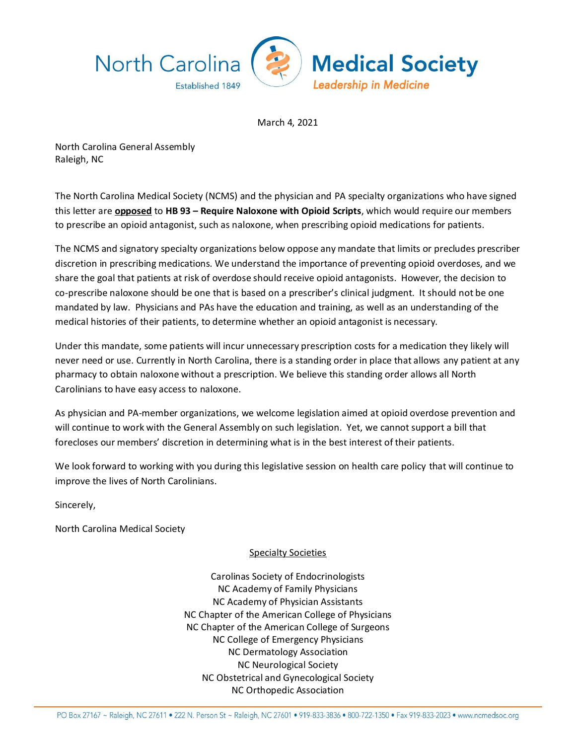

March 4, 2021

North Carolina General Assembly Raleigh, NC

The North Carolina Medical Society (NCMS) and the physician and PA specialty organizations who have signed this letter are **opposed** to **HB 93 – Require Naloxone with Opioid Scripts**, which would require our members to prescribe an opioid antagonist, such as naloxone, when prescribing opioid medications for patients.

The NCMS and signatory specialty organizations below oppose any mandate that limits or precludes prescriber discretion in prescribing medications. We understand the importance of preventing opioid overdoses, and we share the goal that patients at risk of overdose should receive opioid antagonists. However, the decision to co-prescribe naloxone should be one that is based on a prescriber's clinical judgment. It should not be one mandated by law. Physicians and PAs have the education and training, as well as an understanding of the medical histories of their patients, to determine whether an opioid antagonist is necessary.

Under this mandate, some patients will incur unnecessary prescription costs for a medication they likely will never need or use. Currently in North Carolina, there is a standing order in place that allows any patient at any pharmacy to obtain naloxone without a prescription. We believe this standing order allows all North Carolinians to have easy access to naloxone.

As physician and PA-member organizations, we welcome legislation aimed at opioid overdose prevention and will continue to work with the General Assembly on such legislation. Yet, we cannot support a bill that forecloses our members' discretion in determining what is in the best interest of their patients.

We look forward to working with you during this legislative session on health care policy that will continue to improve the lives of North Carolinians.

Sincerely,

North Carolina Medical Society

## Specialty Societies

Carolinas Society of Endocrinologists NC Academy of Family Physicians NC Academy of Physician Assistants NC Chapter of the American College of Physicians NC Chapter of the American College of Surgeons NC College of Emergency Physicians NC Dermatology Association NC Neurological Society NC Obstetrical and Gynecological Society NC Orthopedic Association